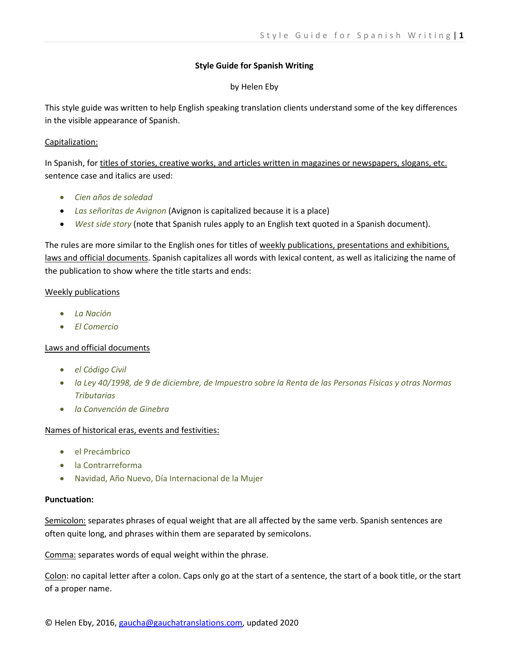## **Style Guide for Spanish Writing**

## by Helen Eby

This style guide was written to help English speaking translation clients understand some of the key differences in the visible appearance of Spanish.

## Capitalization:

In Spanish, for titles of stories, creative works, and articles written in magazines or newspapers, slogans, etc. sentence case and italics are used:

- *Cien años de soledad*
- *Las señoritas de Avignon* (Avignon is capitalized because it is a place)
- *West side story* (note that Spanish rules apply to an English text quoted in a Spanish document).

The rules are more similar to the English ones for titles of weekly publications, presentations and exhibitions, laws and official documents. Spanish capitalizes all words with lexical content, as well as italicizing the name of the publication to show where the title starts and ends:

## Weekly publications

- *La Nación*
- *El Comercio*

# Laws and official documents

- *el Código Civil*
- *la Ley 40/1998, de 9 de diciembre, de Impuestro sobre la Renta de las Personas Físicas y otras Normas Tributarias*
- *la Convención de Ginebra*

# Names of historical eras, events and festivities:

- el Precámbrico
- la Contrarreforma
- Navidad, Año Nuevo, Día Internacional de la Mujer

### **Punctuation:**

Semicolon: separates phrases of equal weight that are all affected by the same verb. Spanish sentences are often quite long, and phrases within them are separated by semicolons.

Comma: separates words of equal weight within the phrase.

Colon: no capital letter after a colon. Caps only go at the start of a sentence, the start of a book title, or the start of a proper name.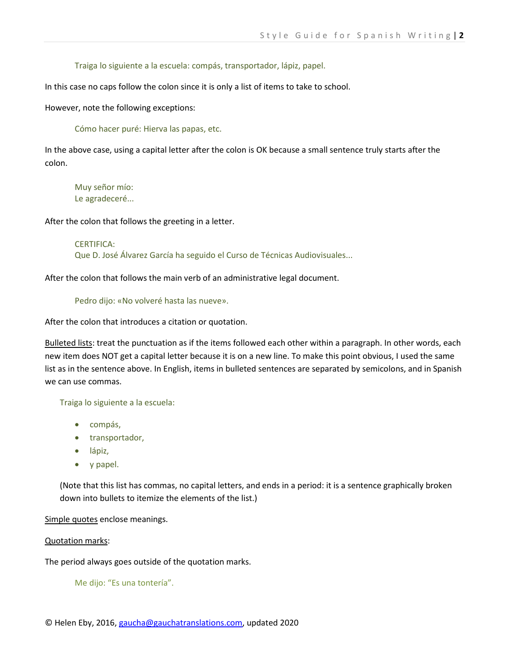Traiga lo siguiente a la escuela: compás, transportador, lápiz, papel.

In this case no caps follow the colon since it is only a list of items to take to school.

However, note the following exceptions:

Cómo hacer puré: Hierva las papas, etc.

In the above case, using a capital letter after the colon is OK because a small sentence truly starts after the colon.

Muy señor mío: Le agradeceré...

After the colon that follows the greeting in a letter.

CERTIFICA: Que D. José Álvarez García ha seguido el Curso de Técnicas Audiovisuales...

After the colon that follows the main verb of an administrative legal document.

Pedro dijo: «No volveré hasta las nueve».

After the colon that introduces a citation or quotation.

Bulleted lists: treat the punctuation as if the items followed each other within a paragraph. In other words, each new item does NOT get a capital letter because it is on a new line. To make this point obvious, I used the same list as in the sentence above. In English, items in bulleted sentences are separated by semicolons, and in Spanish we can use commas.

Traiga lo siguiente a la escuela:

- compás,
- transportador,
- lápiz,
- y papel.

(Note that this list has commas, no capital letters, and ends in a period: it is a sentence graphically broken down into bullets to itemize the elements of the list.)

Simple quotes enclose meanings.

Quotation marks:

The period always goes outside of the quotation marks.

Me dijo: "Es una tontería".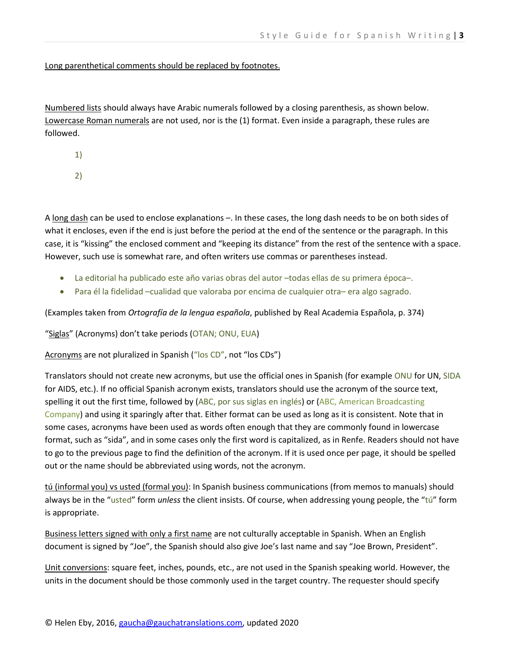Long parenthetical comments should be replaced by footnotes.

Numbered lists should always have Arabic numerals followed by a closing parenthesis, as shown below. Lowercase Roman numerals are not used, nor is the (1) format. Even inside a paragraph, these rules are followed.

1)

2)

A long dash can be used to enclose explanations -. In these cases, the long dash needs to be on both sides of what it encloses, even if the end is just before the period at the end of the sentence or the paragraph. In this case, it is "kissing" the enclosed comment and "keeping its distance" from the rest of the sentence with a space. However, such use is somewhat rare, and often writers use commas or parentheses instead.

- La editorial ha publicado este año varias obras del autor –todas ellas de su primera época–.
- Para él la fidelidad –cualidad que valoraba por encima de cualquier otra– era algo sagrado.

(Examples taken from *Ortografía de la lengua española*, published by Real Academia Española, p. 374)

"Siglas" (Acronyms) don't take periods (OTAN; ONU, EUA)

Acronyms are not pluralized in Spanish ("los CD", not "los CDs")

Translators should not create new acronyms, but use the official ones in Spanish (for example ONU for UN, SIDA for AIDS, etc.). If no official Spanish acronym exists, translators should use the acronym of the source text, spelling it out the first time, followed by (ABC, por sus siglas en inglés) or (ABC, American Broadcasting Company) and using it sparingly after that. Either format can be used as long as it is consistent. Note that in some cases, acronyms have been used as words often enough that they are commonly found in lowercase format, such as "sida", and in some cases only the first word is capitalized, as in Renfe. Readers should not have to go to the previous page to find the definition of the acronym. If it is used once per page, it should be spelled out or the name should be abbreviated using words, not the acronym.

tú (informal you) vs usted (formal you): In Spanish business communications (from memos to manuals) should always be in the "usted" form *unless* the client insists. Of course, when addressing young people, the "tú" form is appropriate.

Business letters signed with only a first name are not culturally acceptable in Spanish. When an English document is signed by "Joe", the Spanish should also give Joe's last name and say "Joe Brown, President".

Unit conversions: square feet, inches, pounds, etc., are not used in the Spanish speaking world. However, the units in the document should be those commonly used in the target country. The requester should specify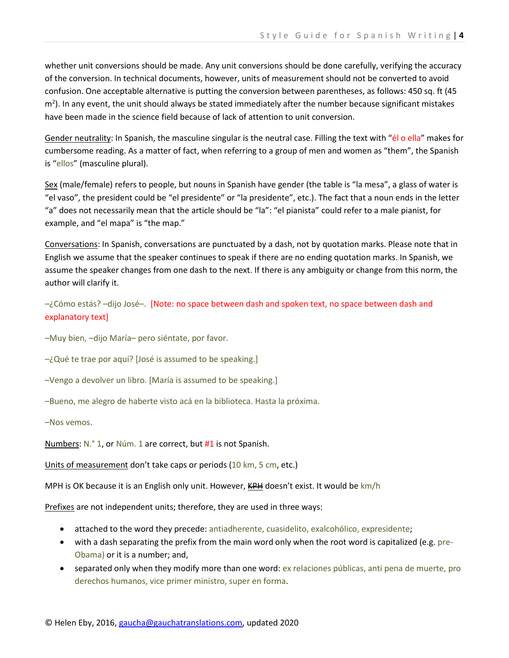whether unit conversions should be made. Any unit conversions should be done carefully, verifying the accuracy of the conversion. In technical documents, however, units of measurement should not be converted to avoid confusion. One acceptable alternative is putting the conversion between parentheses, as follows: 450 sq. ft (45 m<sup>2</sup>). In any event, the unit should always be stated immediately after the number because significant mistakes have been made in the science field because of lack of attention to unit conversion.

Gender neutrality: In Spanish, the masculine singular is the neutral case. Filling the text with "él o ella" makes for cumbersome reading. As a matter of fact, when referring to a group of men and women as "them", the Spanish is "ellos" (masculine plural).

Sex (male/female) refers to people, but nouns in Spanish have gender (the table is "la mesa", a glass of water is "el vaso", the president could be "el presidente" or "la presidente", etc.). The fact that a noun ends in the letter "a" does not necessarily mean that the article should be "la": "el pianista" could refer to a male pianist, for example, and "el mapa" is "the map."

Conversations: In Spanish, conversations are punctuated by a dash, not by quotation marks. Please note that in English we assume that the speaker continues to speak if there are no ending quotation marks. In Spanish, we assume the speaker changes from one dash to the next. If there is any ambiguity or change from this norm, the author will clarify it.

–¿Cómo estás? –dijo José–. [Note: no space between dash and spoken text, no space between dash and explanatory text]

–Muy bien, –dijo María– pero siéntate, por favor.

–¿Qué te trae por aquí? [José is assumed to be speaking.]

–Vengo a devolver un libro. [María is assumed to be speaking.]

–Bueno, me alegro de haberte visto acá en la biblioteca. Hasta la próxima.

–Nos vemos.

Numbers: N.° 1, or Núm. 1 are correct, but #1 is not Spanish.

Units of measurement don't take caps or periods (10 km, 5 cm, etc.)

MPH is OK because it is an English only unit. However,  $KPH$  doesn't exist. It would be  $km/h$ 

Prefixes are not independent units; therefore, they are used in three ways:

- attached to the word they precede: antiadherente, cuasidelito, exalcohólico, expresidente;
- with a dash separating the prefix from the main word only when the root word is capitalized (e.g. pre-Obama) or it is a number; and,
- separated only when they modify more than one word: ex relaciones públicas, anti pena de muerte, pro derechos humanos, vice primer ministro, super en forma.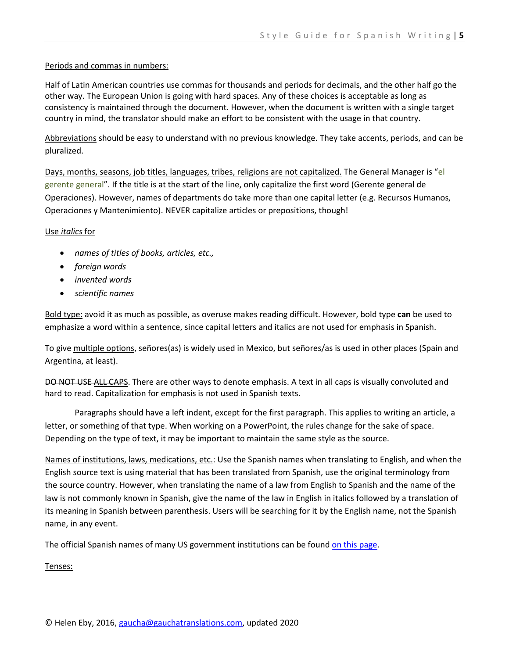### Periods and commas in numbers:

Half of Latin American countries use commas for thousands and periods for decimals, and the other half go the other way. The European Union is going with hard spaces. Any of these choices is acceptable as long as consistency is maintained through the document. However, when the document is written with a single target country in mind, the translator should make an effort to be consistent with the usage in that country.

Abbreviations should be easy to understand with no previous knowledge. They take accents, periods, and can be pluralized.

Days, months, seasons, job titles, languages, tribes, religions are not capitalized. The General Manager is "el gerente general". If the title is at the start of the line, only capitalize the first word (Gerente general de Operaciones). However, names of departments do take more than one capital letter (e.g. Recursos Humanos, Operaciones y Mantenimiento). NEVER capitalize articles or prepositions, though!

## Use *italics* for

- *names of titles of books, articles, etc.,*
- *foreign words*
- *invented words*
- *scientific names*

Bold type: avoid it as much as possible, as overuse makes reading difficult. However, bold type **can** be used to emphasize a word within a sentence, since capital letters and italics are not used for emphasis in Spanish.

To give multiple options, señores(as) is widely used in Mexico, but señores/as is used in other places (Spain and Argentina, at least).

DO NOT USE ALL CAPS. There are other ways to denote emphasis. A text in all caps is visually convoluted and hard to read. Capitalization for emphasis is not used in Spanish texts.

Paragraphs should have a left indent, except for the first paragraph. This applies to writing an article, a letter, or something of that type. When working on a PowerPoint, the rules change for the sake of space. Depending on the type of text, it may be important to maintain the same style as the source.

Names of institutions, laws, medications, etc.: Use the Spanish names when translating to English, and when the English source text is using material that has been translated from Spanish, use the original terminology from the source country. However, when translating the name of a law from English to Spanish and the name of the law is not commonly known in Spanish, give the name of the law in English in italics followed by a translation of its meaning in Spanish between parenthesis. Users will be searching for it by the English name, not the Spanish name, in any event.

The official Spanish names of many US government institutions can be found [on this page.](https://gobierno.usa.gov/)

Tenses: